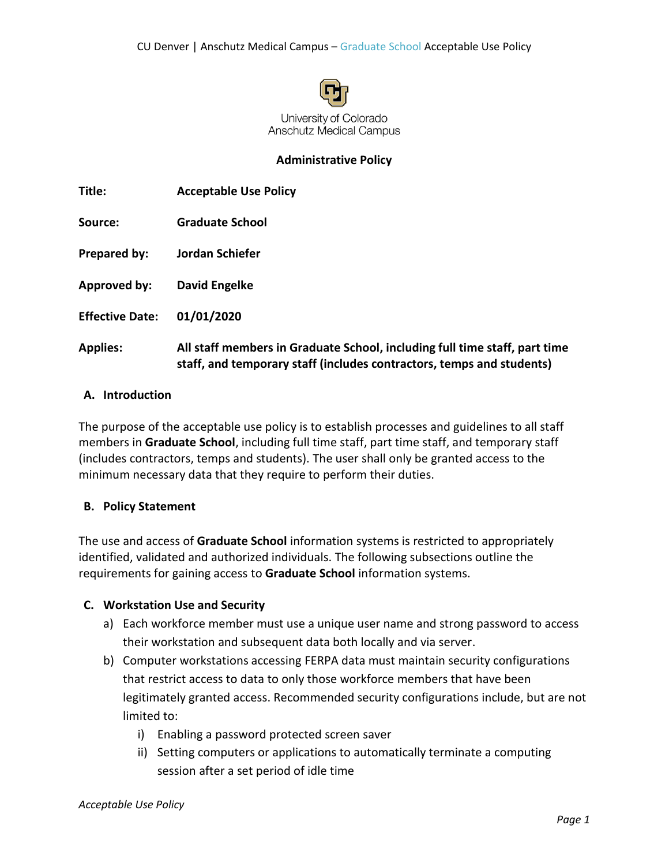

## **Administrative Policy**

| Title:                 | <b>Acceptable Use Policy</b>                                                                                                                        |
|------------------------|-----------------------------------------------------------------------------------------------------------------------------------------------------|
| Source:                | <b>Graduate School</b>                                                                                                                              |
| Prepared by:           | Jordan Schiefer                                                                                                                                     |
| Approved by:           | David Engelke                                                                                                                                       |
| <b>Effective Date:</b> | 01/01/2020                                                                                                                                          |
| <b>Applies:</b>        | All staff members in Graduate School, including full time staff, part time<br>staff, and temporary staff (includes contractors, temps and students) |

### **A. Introduction**

The purpose of the acceptable use policy is to establish processes and guidelines to all staff members in **Graduate School**, including full time staff, part time staff, and temporary staff (includes contractors, temps and students). The user shall only be granted access to the minimum necessary data that they require to perform their duties.

#### **B. Policy Statement**

The use and access of **Graduate School** information systems is restricted to appropriately identified, validated and authorized individuals. The following subsections outline the requirements for gaining access to **Graduate School** information systems.

#### **C. Workstation Use and Security**

- a) Each workforce member must use a unique user name and strong password to access their workstation and subsequent data both locally and via server.
- b) Computer workstations accessing FERPA data must maintain security configurations that restrict access to data to only those workforce members that have been legitimately granted access. Recommended security configurations include, but are not limited to:
	- i) Enabling a password protected screen saver
	- ii) Setting computers or applications to automatically terminate a computing session after a set period of idle time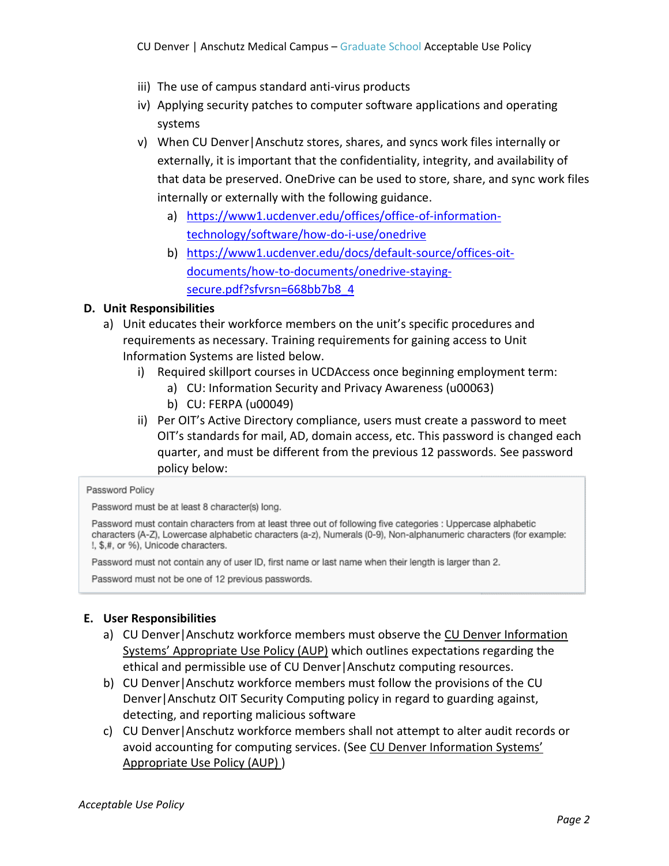- iii) The use of campus standard anti-virus products
- iv) Applying security patches to computer software applications and operating systems
- v) When CU Denver|Anschutz stores, shares, and syncs work files internally or externally, it is important that the confidentiality, integrity, and availability of that data be preserved. OneDrive can be used to store, share, and sync work files internally or externally with the following guidance.
	- a) [https://www1.ucdenver.edu/offices/office-of-information](https://www1.ucdenver.edu/offices/office-of-information-technology/software/how-do-i-use/onedrive)[technology/software/how-do-i-use/onedrive](https://www1.ucdenver.edu/offices/office-of-information-technology/software/how-do-i-use/onedrive)
	- b) [https://www1.ucdenver.edu/docs/default-source/offices-oit](https://www1.ucdenver.edu/docs/default-source/offices-oit-documents/how-to-documents/onedrive-staying-secure.pdf?sfvrsn=668bb7b8_4)[documents/how-to-documents/onedrive-staying](https://www1.ucdenver.edu/docs/default-source/offices-oit-documents/how-to-documents/onedrive-staying-secure.pdf?sfvrsn=668bb7b8_4)[secure.pdf?sfvrsn=668bb7b8\\_4](https://www1.ucdenver.edu/docs/default-source/offices-oit-documents/how-to-documents/onedrive-staying-secure.pdf?sfvrsn=668bb7b8_4)

# **D. Unit Responsibilities**

- a) Unit educates their workforce members on the unit's specific procedures and requirements as necessary. Training requirements for gaining access to Unit Information Systems are listed below.
	- i) Required skillport courses in UCDAccess once beginning employment term:
		- a) CU: Information Security and Privacy Awareness (u00063)
		- b) CU: FERPA (u00049)
	- ii) Per OIT's Active Directory compliance, users must create a password to meet OIT's standards for mail, AD, domain access, etc. This password is changed each quarter, and must be different from the previous 12 passwords. See password policy below:

#### Password Policy

Password must be at least 8 character(s) long.

Password must contain characters from at least three out of following five categories : Uppercase alphabetic characters (A-Z), Lowercase alphabetic characters (a-z), Numerals (0-9), Non-alphanumeric characters (for example: !, \$,#, or %), Unicode characters.

Password must not contain any of user ID, first name or last name when their length is larger than 2.

Password must not be one of 12 previous passwords.

# **E. User Responsibilities**

- a) CU Denver|Anschutz workforce members must observe th[e CU Denver Information](http://www.ucdenver.edu/faculty_staff/employees/policies/Policies%20Library/DDC/Computing/Acceptable-Use-of-Information-Technology-Resources-Policy-v5-Mar-20-2014.pdf)  [Systems' Appropriate Use Policy \(AUP\)](http://www.ucdenver.edu/faculty_staff/employees/policies/Policies%20Library/DDC/Computing/Acceptable-Use-of-Information-Technology-Resources-Policy-v5-Mar-20-2014.pdf) which outlines expectations regarding the ethical and permissible use of CU Denver|Anschutz computing resources.
- b) CU Denver|Anschutz workforce members must follow the provisions of the CU Denver|Anschutz OIT Security Computing policy in regard to guarding against, detecting, and reporting malicious software
- c) CU Denver|Anschutz workforce members shall not attempt to alter audit records or avoid accounting for computing services. (See [CU Denver Information Systems'](http://www.ucdenver.edu/faculty_staff/employees/policies/Policies%20Library/DDC/Computing/Acceptable-Use-of-Information-Technology-Resources-Policy-v5-Mar-20-2014.pdf)  [Appropriate Use Policy \(AUP\)](http://www.ucdenver.edu/faculty_staff/employees/policies/Policies%20Library/DDC/Computing/Acceptable-Use-of-Information-Technology-Resources-Policy-v5-Mar-20-2014.pdf) )